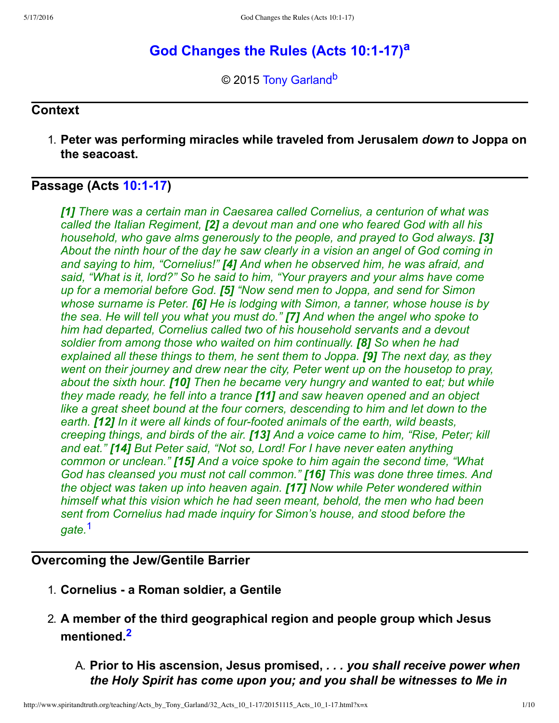# **God Ch[a](#page-9-0)nges the Rules (Acts 10:1-17)<sup>a</sup>**

<span id="page-0-3"></span><span id="page-0-2"></span>© 2015 [Tony Garland](http://www.spiritandtruth.org/id/tg.htm)<sup>[b](#page-9-1)</sup>

#### **Context**

1. **Peter was performing miracles while traveled from Jerusalem** *down* **to Joppa on the seacoast.**

## **Passage (Acts [10:117](http://www.spiritandtruth.org/bibles/nasb/b44c010.htm#Acts_C10V1))**

*[1] There was a certain man in Caesarea called Cornelius, a centurion of what was called the Italian Regiment, [2] a devout man and one who feared God with all his household, who gave alms generously to the people, and prayed to God always.* **[3]** *About the ninth hour of the day he saw clearly in a vision an angel of God coming in and saying to him, "Cornelius!" [4] And when he observed him, he was afraid, and said, "What is it, lord?" So he said to him, "Your prayers and your alms have come up for a memorial before God. [5] "Now send men to Joppa, and send for Simon whose surname is Peter. [6] He is lodging with Simon, a tanner, whose house is by the sea. He will tell you what you must do." [7] And when the angel who spoke to him had departed, Cornelius called two of his household servants and a devout soldier from among those who waited on him continually. [8] So when he had explained all these things to them, he sent them to Joppa. [9] The next day, as they went on their journey and drew near the city, Peter went up on the housetop to pray, about the sixth hour. [10] Then he became very hungry and wanted to eat; but while they made ready, he fell into a trance [11] and saw heaven opened and an object like a great sheet bound at the four corners, descending to him and let down to the* earth. **[12]** In it were all kinds of four-footed animals of the earth, wild beasts, *creeping things, and birds of the air. [13] And a voice came to him, "Rise, Peter; kill and eat." [14] But Peter said, "Not so, Lord! For I have never eaten anything common or unclean." [15] And a voice spoke to him again the second time, "What God has cleansed you must not call common." [16] This was done three times. And the object was taken up into heaven again. [17] Now while Peter wondered within himself what this vision which he had seen meant, behold, the men who had been sent from Cornelius had made inquiry for Simon's house, and stood before the gate.*[1](#page-8-0)

#### <span id="page-0-0"></span>**Overcoming the Jew/Gentile Barrier**

- 1. **Cornelius a Roman soldier, a Gentile**
- <span id="page-0-1"></span>2. **A member of the third geographical region and people group which Jesus mentioned.[2](#page-8-1)**
	- A. **Prior to His ascension, Jesus promised,** *. . . you shall receive power when the Holy Spirit has come upon you; and you shall be witnesses to Me in*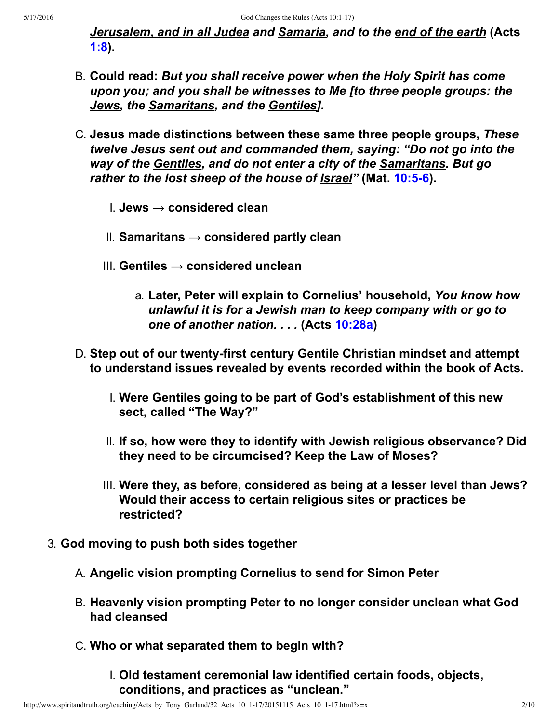*Jerusalem, and in all Judea and Samaria, and to the end of the earth* **(Acts [1:8\)](http://www.spiritandtruth.org/bibles/nasb/b44c001.htm#Acts_C1V8).**

- B. **Could read:** *But you shall receive power when the Holy Spirit has come upon you; and you shall be witnesses to Me [to three people groups: the Jews, the Samaritans, and the Gentiles].*
- C. **Jesus made distinctions between these same three people groups,** *These twelve Jesus sent out and commanded them, saying: "Do not go into the way of the Gentiles, and do not enter a city of the Samaritans. But go rather to the lost sheep of the house of Israel"* **(Mat. [10:56\)](http://www.spiritandtruth.org/bibles/nasb/b40c010.htm#Mat._C10V5).**
	- I. **Jews → considered clean**
	- II. **Samaritans → considered partly clean**
	- III. **Gentiles → considered unclean**
		- a. **Later, Peter will explain to Cornelius' household,** *You know how unlawful it is for a Jewish man to keep company with or go to one of another nation. . . .* **(Acts [10:28a\)](http://www.spiritandtruth.org/bibles/nasb/b44c010.htm#Acts_C10V28)**
- D. Step out of our twenty-first century Gentile Christian mindset and attempt **to understand issues revealed by events recorded within the book of Acts.**
	- I. **Were Gentiles going to be part of God's establishment of this new sect, called "The Way?"**
	- II. **If so, how were they to identify with Jewish religious observance? Did they need to be circumcised? Keep the Law of Moses?**
	- III. **Were they, as before, considered as being at a lesser level than Jews? Would their access to certain religious sites or practices be restricted?**
- 3. **God moving to push both sides together**
	- A. **Angelic vision prompting Cornelius to send for Simon Peter**
	- B. **Heavenly vision prompting Peter to no longer consider unclean what God had cleansed**
	- C. **Who or what separated them to begin with?**
		- I. **Old testament ceremonial law identified certain foods, objects, conditions, and practices as "unclean."**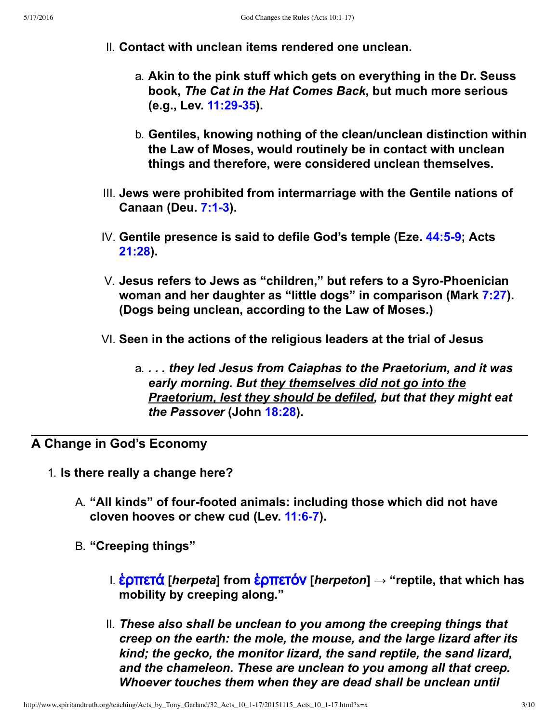- II. **Contact with unclean items rendered one unclean.**
	- a. **Akin to the pink stuff which gets on everything in the Dr. Seuss book,** *The Cat in the Hat Comes Back***, but much more serious (e.g., Lev. [11:2935](http://www.spiritandtruth.org/bibles/nasb/b03c011.htm#Lev._C11V29)).**
	- b. **Gentiles, knowing nothing of the clean/unclean distinction within the Law of Moses, would routinely be in contact with unclean things and therefore, were considered unclean themselves.**
- III. **Jews were prohibited from intermarriage with the Gentile nations of Canaan (Deu. 7:1-3).**
- IV. **Gentile presence is said to defile God's temple (Eze. [44:59;](http://www.spiritandtruth.org/bibles/nasb/b26c044.htm#Eze._C44V5) Acts [21:28\)](http://www.spiritandtruth.org/bibles/nasb/b44c021.htm#Acts_C21V28).**
- V. Jesus refers to Jews as "children," but refers to a Syro-Phoenician **woman and her daughter as "little dogs" in comparison (Mark [7:27](http://www.spiritandtruth.org/bibles/nasb/b41c007.htm#Mark_C7V27)). (Dogs being unclean, according to the Law of Moses.)**
- VI. **Seen in the actions of the religious leaders at the trial of Jesus**
	- a. *. . . they led Jesus from Caiaphas to the Praetorium, and it was early morning. But they themselves did not go into the Praetorium, lest they should be defiled, but that they might eat the Passover* **(John [18:28](http://www.spiritandtruth.org/bibles/nasb/b43c018.htm#John_C18V28)).**

## **A Change in God's Economy**

- 1. **Is there really a change here?**
	- A. **"All kinds" of fourfooted animals: including those which did not have cloven hooves or chew cud (Lev. [11:67\)](http://www.spiritandtruth.org/bibles/nasb/b03c011.htm#Lev._C11V6).**
	- B. **"Creeping things"**
		- I. [ἑˮ˭ˢτ˙](http://www.spiritandtruth.org/fontsu/index.htm) **[***herpeta***] from** [ἑˮ˭ˢτόν](http://www.spiritandtruth.org/fontsu/index.htm) **[***herpeton***] → "reptile, that which has mobility by creeping along."**
		- II. *These also shall be unclean to you among the creeping things that creep on the earth: the mole, the mouse, and the large lizard after its kind; the gecko, the monitor lizard, the sand reptile, the sand lizard, and the chameleon. These are unclean to you among all that creep. Whoever touches them when they are dead shall be unclean until*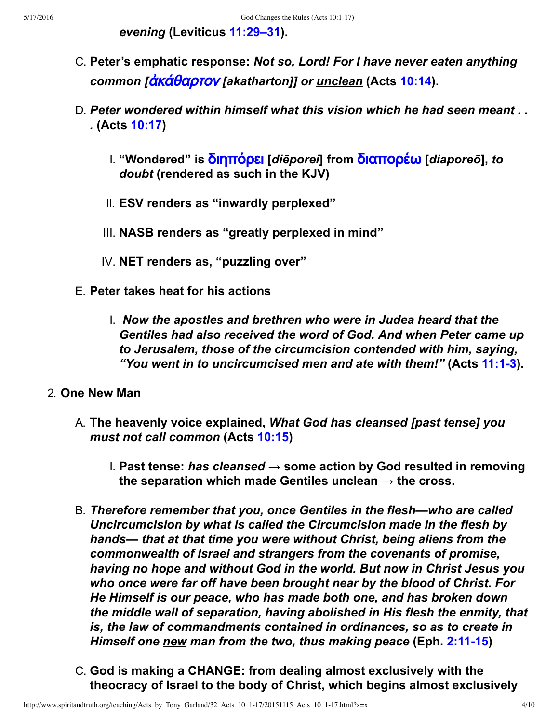*evening* **(Leviticus [11:29–31](http://www.spiritandtruth.org/bibles/nasb/b03c011.htm#Lev._C11V29)).**

- C. **Peter's emphatic response:** *Not so, Lord! For I have never eaten anything common [*[ἀ˧˙˥αˮτˬν](http://www.spiritandtruth.org/fontsu/index.htm) *[akatharton]] or unclean* **(Acts [10:14\)](http://www.spiritandtruth.org/bibles/nasb/b44c010.htm#Acts_C10V14).**
- D. *Peter wondered within himself what this vision which he had seen meant . . .* **(Acts [10:17\)](http://www.spiritandtruth.org/bibles/nasb/b44c010.htm#Acts_C10V17)**
	- I. **"Wondered" is** [ˡ˦ˤ˭όˮˢ˦](http://www.spiritandtruth.org/fontsu/index.htm) **[***diēporei***] from** [ˡ˦α˭ˬˮ˚ω](http://www.spiritandtruth.org/fontsu/index.htm) **[***diaporeō***],** *to doubt* **(rendered as such in the KJV)**
	- II. **ESV renders as "inwardly perplexed"**
	- III. **NASB renders as "greatly perplexed in mind"**
	- IV. **NET renders as, "puzzling over"**
- E. **Peter takes heat for his actions**
	- I.  *Now the apostles and brethren who were in Judea heard that the Gentiles had also received the word of God. And when Peter came up to Jerusalem, those of the circumcision contended with him, saying, "You went in to uncircumcised men and ate with them!"* **(Acts [11:13\)](http://www.spiritandtruth.org/bibles/nasb/b44c011.htm#Acts_C11V1).**
- 2. **One New Man**
	- A. **The heavenly voice explained,** *What God has cleansed [past tense] you must not call common* **(Acts [10:15](http://www.spiritandtruth.org/bibles/nasb/b44c010.htm#Acts_C10V15))**
		- I. **Past tense:** *has cleansed* **→ some action by God resulted in removing** the separation which made Gentiles unclean  $\rightarrow$  the cross.
	- B. *Therefore remember that you, once Gentiles in the flesh—who are called Uncircumcision by what is called the Circumcision made in the flesh by hands— that at that time you were without Christ, being aliens from the commonwealth of Israel and strangers from the covenants of promise, having no hope and without God in the world. But now in Christ Jesus you who once were far off have been brought near by the blood of Christ. For He Himself is our peace, who has made both one, and has broken down the middle wall of separation, having abolished in His flesh the enmity, that is, the law of commandments contained in ordinances, so as to create in Himself one new man from the two, thus making peace* (Eph. 2:11-15)
	- C. **God is making a CHANGE: from dealing almost exclusively with the theocracy of Israel to the body of Christ, which begins almost exclusively**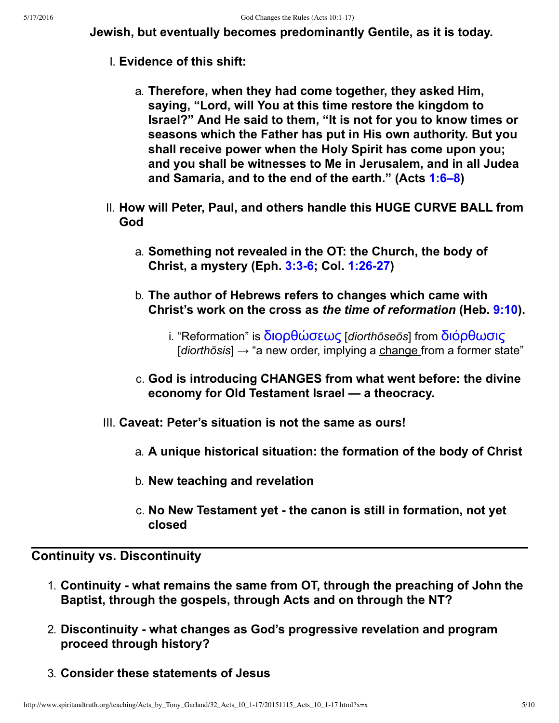**Jewish, but eventually becomes predominantly Gentile, as it is today.**

- I. **Evidence of this shift:**
	- a. **Therefore, when they had come together, they asked Him, saying, "Lord, will You at this time restore the kingdom to Israel?" And He said to them, "It is not for you to know times or seasons which the Father has put in His own authority. But you shall receive power when the Holy Spirit has come upon you; and you shall be witnesses to Me in Jerusalem, and in all Judea and Samaria, and to the end of the earth." (Acts [1:6–8](http://www.spiritandtruth.org/bibles/nasb/b44c001.htm#Acts_C1V6))**
- II. **How will Peter, Paul, and others handle this HUGE CURVE BALL from God**
	- a. **Something not revealed in the OT: the Church, the body of Christ, a mystery (Eph. [3:36;](http://www.spiritandtruth.org/bibles/nasb/b49c003.htm#Eph._C3V3) Col. [1:2627](http://www.spiritandtruth.org/bibles/nasb/b51c001.htm#Col._C1V26))**
	- b. **The author of Hebrews refers to changes which came with Christ's work on the cross as** *the time of reformation* **(Heb. [9:10](http://www.spiritandtruth.org/bibles/nasb/b58c009.htm#Heb._C9V10)).**
		- i. "Reformation" is **διορθώσεως** [diorthōseōs] from διόρθωσις [*diorthōsis*] → "a new order, implying a change from a former state"
	- c. **God is introducing CHANGES from what went before: the divine economy for Old Testament Israel — a theocracy.**
- III. **Caveat: Peter's situation is not the same as ours!**
	- a. **A unique historical situation: the formation of the body of Christ**
	- b. **New teaching and revelation**
	- c. **No New Testament yet the canon is still in formation, not yet closed**

## **Continuity vs. Discontinuity**

- 1. **Continuity what remains the same from OT, through the preaching of John the Baptist, through the gospels, through Acts and on through the NT?**
- 2. **Discontinuity what changes as God's progressive revelation and program proceed through history?**
- 3. **Consider these statements of Jesus**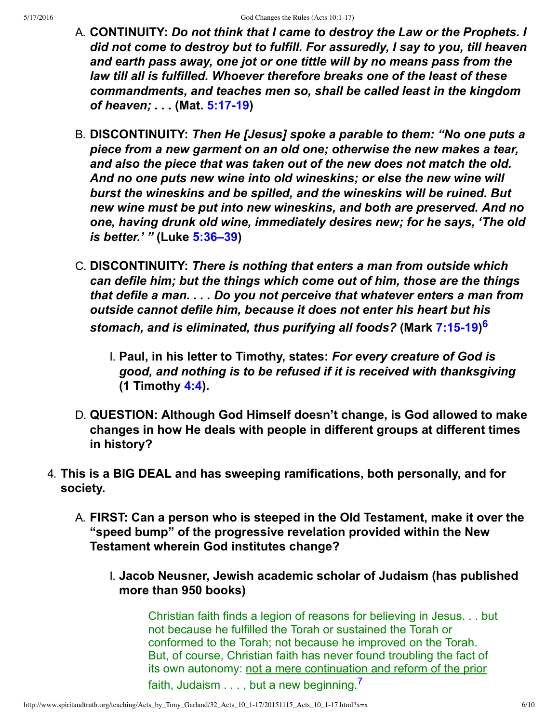- A. **CONTINUITY:** *Do not think that I came to destroy the Law or the Prophets. I did not come to destroy but to fulfill. For assuredly, I say to you, till heaven and earth pass away, one jot or one tittle will by no means pass from the law till all is fulfilled. Whoever therefore breaks one of the least of these commandments, and teaches men so, shall be called least in the kingdom of heaven; . . .* **(Mat. [5:1719](http://www.spiritandtruth.org/bibles/nasb/b40c005.htm#Mat._C5V17))**
- B. **DISCONTINUITY:** *Then He [Jesus] spoke a parable to them: "No one puts a piece from a new garment on an old one; otherwise the new makes a tear, and also the piece that was taken out of the new does not match the old. And no one puts new wine into old wineskins; or else the new wine will burst the wineskins and be spilled, and the wineskins will be ruined. But new wine must be put into new wineskins, and both are preserved. And no one, having drunk old wine, immediately desires new; for he says, 'The old is better.' "* **(Luke [5:36–39](http://www.spiritandtruth.org/bibles/nasb/b42c005.htm#Luke_C5V36))**
- <span id="page-5-0"></span>C. **DISCONTINUITY:** *There is nothing that enters a man from outside which can defile him; but the things which come out of him, those are the things that defile a man. . . . Do you not perceive that whatever enters a man from outside cannot defile him, because it does not enter his heart but his stomach, and is eliminated, thus purifying all foods?* **(Mark [7:1519\)](http://www.spiritandtruth.org/bibles/nasb/b41c007.htm#Mark_C7V15) [6](#page-8-2)**
	- I. **Paul, in his letter to Timothy, states:** *For every creature of God is good, and nothing is to be refused if it is received with thanksgiving* **(1 Timothy [4:4\)](http://www.spiritandtruth.org/bibles/nasb/b54c004.htm#1Ti._C4V4).**
- D. **QUESTION: Although God Himself doesn't change, is God allowed to make changes in how He deals with people in different groups at different times in history?**
- 4. **This is a BIG DEAL and has sweeping ramifications, both personally, and for society.**
	- A. **FIRST: Can a person who is steeped in the Old Testament, make it over the "speed bump" of the progressive revelation provided within the New Testament wherein God institutes change?**
		- I. **Jacob Neusner, Jewish academic scholar of Judaism (has published more than 950 books)**

<span id="page-5-1"></span>Christian faith finds a legion of reasons for believing in Jesus. . . but not because he fulfilled the Torah or sustained the Torah or conformed to the Torah; not because he improved on the Torah. But, of course, Christian faith has never found troubling the fact of its own autonomy: not a mere continuation and reform of the prior faith, Judaism . . . , but a new beginning.<sup>[7](#page-8-3)</sup>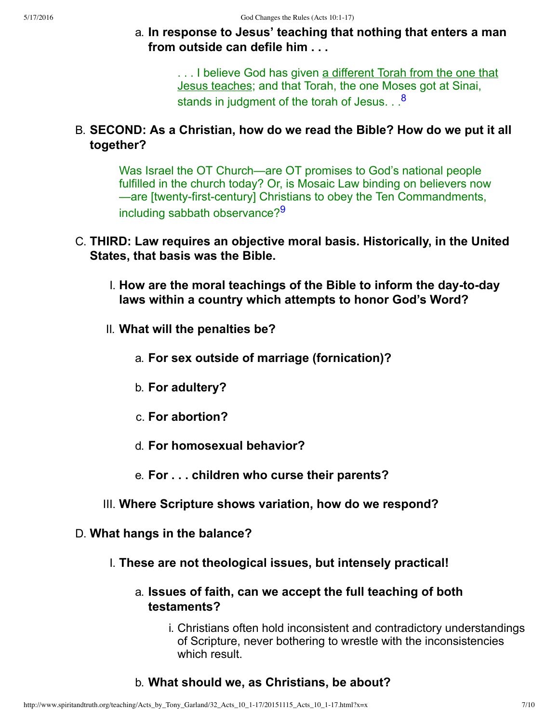a. **In response to Jesus' teaching that nothing that enters a man from outside can defile him . . .**

> <span id="page-6-0"></span>. . . I believe God has given a different Torah from the one that Jesus teaches; and that Torah, the one Moses got at Sinai, stands in judgment of the torah of Jesus. . .<sup>[8](#page-8-4)</sup>

B. **SECOND: As a Christian, how do we read the Bible? How do we put it all together?**

<span id="page-6-1"></span>Was Israel the OT Church—are OT promises to God's national people fulfilled in the church today? Or, is Mosaic Law binding on believers now —are [twenty-first-century] Christians to obey the Ten Commandments, including sabbath observance?<sup>[9](#page-8-5)</sup>

- C. **THIRD: Law requires an objective moral basis. Historically, in the United States, that basis was the Bible.**
	- I. How are the moral teachings of the Bible to inform the day-to-day **laws within a country which attempts to honor God's Word?**
	- II. **What will the penalties be?**
		- a. **For sex outside of marriage (fornication)?**
		- b. **For adultery?**
		- c. **For abortion?**
		- d. **For homosexual behavior?**
		- e. **For . . . children who curse their parents?**
	- III. **Where Scripture shows variation, how do we respond?**
- D. **What hangs in the balance?**
	- I. **These are not theological issues, but intensely practical!**
		- a. **Issues of faith, can we accept the full teaching of both testaments?**
			- i. Christians often hold inconsistent and contradictory understandings of Scripture, never bothering to wrestle with the inconsistencies which result.
		- b. **What should we, as Christians, be about?**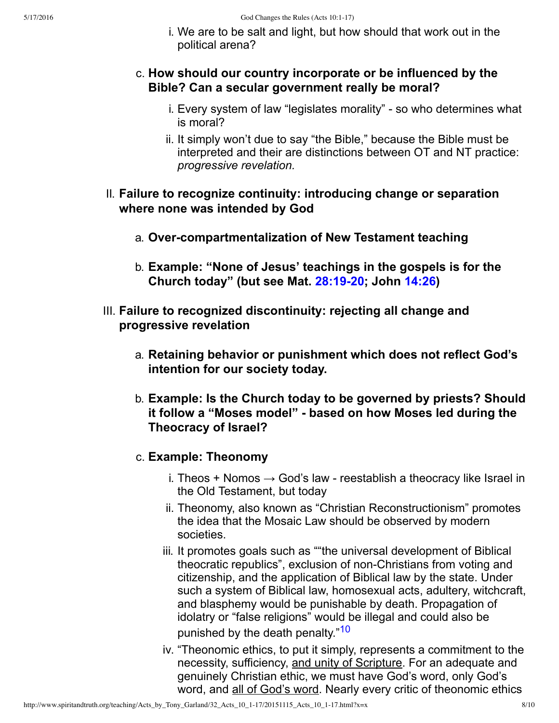i. We are to be salt and light, but how should that work out in the political arena?

### c. **How should our country incorporate or be influenced by the Bible? Can a secular government really be moral?**

- i. Every system of law "legislates morality" so who determines what is moral?
- ii. It simply won't due to say "the Bible," because the Bible must be interpreted and their are distinctions between OT and NT practice: *progressive revelation.*
- II. **Failure to recognize continuity: introducing change or separation where none was intended by God**
	- a. **Overcompartmentalization of New Testament teaching**
	- b. **Example: "None of Jesus' teachings in the gospels is for the Church today" (but see Mat. [28:1920](http://www.spiritandtruth.org/bibles/nasb/b40c028.htm#Mat._C28V19); John [14:26\)](http://www.spiritandtruth.org/bibles/nasb/b43c014.htm#John_C14V26)**
- <span id="page-7-0"></span>III. **Failure to recognized discontinuity: rejecting all change and progressive revelation**
	- a. **Retaining behavior or punishment which does not reflect God's intention for our society today.**
	- b. **Example: Is the Church today to be governed by priests? Should it follow a "Moses model" based on how Moses led during the Theocracy of Israel?**
	- c. **Example: Theonomy**
		- i. Theos + Nomos  $\rightarrow$  God's law reestablish a theocracy like Israel in the Old Testament, but today
		- ii. Theonomy, also known as "Christian Reconstructionism" promotes the idea that the Mosaic Law should be observed by modern societies.
		- iii. It promotes goals such as ""the universal development of Biblical theocratic republics", exclusion of non-Christians from voting and citizenship, and the application of Biblical law by the state. Under such a system of Biblical law, homosexual acts, adultery, witchcraft, and blasphemy would be punishable by death. Propagation of idolatry or "false religions" would be illegal and could also be punished by the death penalty."<sup>[10](#page-8-6)</sup>
		- iv. "Theonomic ethics, to put it simply, represents a commitment to the necessity, sufficiency, and unity of Scripture. For an adequate and genuinely Christian ethic, we must have God's word, only God's word, and all of God's word. Nearly every critic of theonomic ethics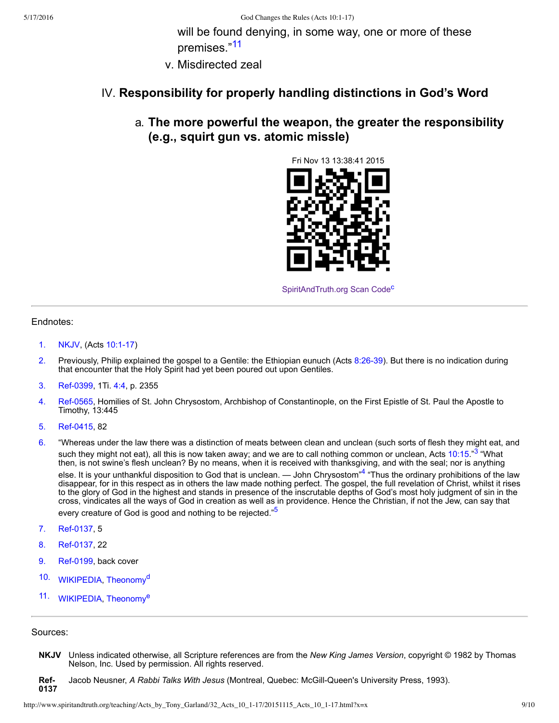<span id="page-8-17"></span>will be found denying, in some way, one or more of these premises."[11](#page-8-7)

v. Misdirected zeal

#### IV. **Responsibility for properly handling distinctions in God's Word**

a. **The more powerful the weapon, the greater the responsibility (e.g., squirt gun vs. atomic missle)**



<span id="page-8-18"></span><span id="page-8-11"></span><span id="page-8-10"></span><span id="page-8-9"></span>[SpiritAndTruth.org Scan Code](http://www.spiritandtruth.org/)<sup>[c](#page-9-2)</sup>

#### Endnotes:

- <span id="page-8-0"></span>[1.](#page-0-0) [NKJV](#page-8-8), (Acts 10:1-17)
- <span id="page-8-1"></span>[2.](#page-0-1) Previously, Philip explained the gospel to a Gentile: the Ethiopian eunuch (Acts 8:26-39). But there is no indication during that encounter that the Holy Spirit had yet been poured out upon Gentiles.
- <span id="page-8-12"></span>[3.](#page-8-9) Ref-0399, 1Ti. [4:4,](http://www.spiritandtruth.org/bibles/nasb/b54c004.htm#1Ti._C4V4) p. 2355
- <span id="page-8-13"></span>[4.](#page-8-10) Ref-0565, Homilies of St. John Chrysostom, Archbishop of Constantinople, on the First Epistle of St. Paul the Apostle to Timothy, 13:445
- <span id="page-8-14"></span>[5.](#page-8-11) Ref-0415, 82
- <span id="page-8-2"></span>[6.](#page-5-0) "Whereas under the law there was a distinction of meats between clean and unclean (such sorts of flesh they might eat, and such they might not eat), all this is now taken away; and we are to call nothing common or unclean, Acts [10:15.](http://www.spiritandtruth.org/bibles/nasb/b44c010.htm#Acts_C10V15)"<sup>[3](#page-8-12)</sup> "What then, is not swine's flesh unclean? By no means, when it is received with thanksgiving, and with the seal; nor is anything else. It is your unthankful disposition to God that is unclean. — John Chrysostom"<sup>[4](#page-8-13)</sup> "Thus the ordinary prohibitions of the law disappear, for in this respect as in others the law made nothing perfect. The gospel, the full revelation of Christ, whilst it rises to the glory of God in the highest and stands in presence of the inscrutable depths of God's most holy judgment of sin in the cross, vindicates all the ways of God in creation as well as in providence. Hence the Christian, if not the Jew, can say that every creature of God is good and nothing to be rejected."<sup>[5](#page-8-14)</sup>
- <span id="page-8-3"></span>[7.](#page-5-1) Ref-0137, 5
- <span id="page-8-4"></span>[8.](#page-6-0) Ref-0137, 22
- <span id="page-8-5"></span>[9.](#page-6-1) Ref-0199, back cover
- <span id="page-8-19"></span><span id="page-8-6"></span>[10.](#page-7-0) WIKIPEDIA, [Theonomy](https://en.wikipedia.org/wiki/Theonomy)<sup>[d](#page-9-6)</sup>
- <span id="page-8-20"></span><span id="page-8-7"></span>[11.](#page-8-17) WIKIPEDIA, [Theonomy](https://en.wikipedia.org/wiki/Theonomy)<sup>[e](#page-9-7)</sup>

#### Sources:

- <span id="page-8-8"></span>**NKJV** Unless indicated otherwise, all Scripture references are from the *New King James Version*, copyright © 1982 by Thomas Nelson, Inc. Used by permission. All rights reserved.
- <span id="page-8-16"></span><span id="page-8-15"></span>**Ref-0137** Jacob Neusner, *A Rabbi Talks With Jesus* (Montreal, Quebec: McGill-Queen's University Press, 1993).